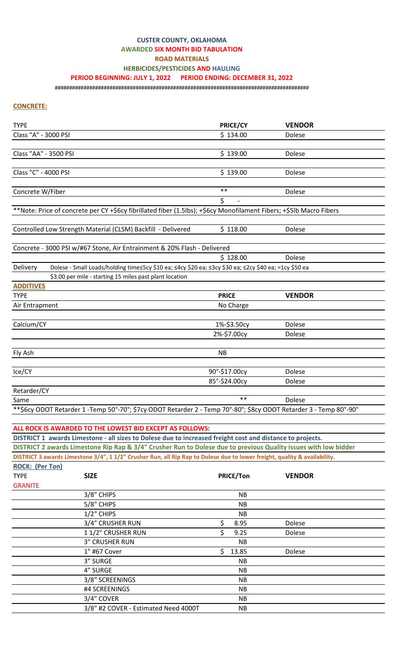# **CUSTER COUNTY, OKLAHOMA**

#### **AWARDED SIX MONTH BID TABULATION**

**ROAD MATERIALS**

**HERBICIDES/PESTICIDES AND HAULING** 

#### **PERIOD BEGINNING: JULY 1, 2022 PERIOD ENDING: DECEMBER 31, 2022**

########################################################################################

### **CONCRETE:**

| <b>TYPE</b>            |                                                                                                                           | PRICE/CY         | <b>VENDOR</b> |
|------------------------|---------------------------------------------------------------------------------------------------------------------------|------------------|---------------|
| Class "A" - 3000 PSI   |                                                                                                                           | \$134.00         | Dolese        |
|                        |                                                                                                                           |                  |               |
| Class "AA" - 3500 PSI  |                                                                                                                           | \$139.00         | Dolese        |
|                        |                                                                                                                           |                  |               |
| Class "C" - 4000 PSI   |                                                                                                                           | \$139.00         | Dolese        |
|                        |                                                                                                                           |                  |               |
| Concrete W/Fiber       |                                                                                                                           | $\ast\ast$       | Dolese        |
|                        |                                                                                                                           | \$               |               |
|                        | **Note: Price of concrete per CY +\$6cy fibrillated fiber (1.5lbs); +\$6cy Monofilament Fibers; +\$5lb Macro Fibers       |                  |               |
|                        |                                                                                                                           |                  |               |
|                        | Controlled Low Strength Material (CLSM) Backfill - Delivered                                                              | \$118.00         | Dolese        |
|                        |                                                                                                                           |                  |               |
|                        | Concrete - 3000 PSI w/#67 Stone, Air Entrainment & 20% Flash - Delivered                                                  | \$128.00         | Dolese        |
| Delivery               | Dolese - Small Loads/holding time≤5cy \$10 ea; ≤4cy \$20 ea; ≤3cy \$30 ea; ≤2cy \$40 ea; =1cy \$50 ea                     |                  |               |
|                        | \$3.00 per mile - starting 15 miles past plant location                                                                   |                  |               |
| <b>ADDITIVES</b>       |                                                                                                                           |                  |               |
| <b>TYPE</b>            |                                                                                                                           | <b>PRICE</b>     | <b>VENDOR</b> |
| Air Entrapment         |                                                                                                                           | No Charge        |               |
|                        |                                                                                                                           |                  |               |
| Calcium/CY             |                                                                                                                           | 1%-\$3.50cy      | Dolese        |
|                        |                                                                                                                           | 2%-\$7.00cy      | Dolese        |
|                        |                                                                                                                           |                  |               |
| Fly Ash                |                                                                                                                           | NB               |               |
|                        |                                                                                                                           |                  |               |
| Ice/CY                 |                                                                                                                           | 90°-\$17.00cy    | Dolese        |
|                        |                                                                                                                           | 85°-\$24.00cy    | Dolese        |
| Retarder/CY            |                                                                                                                           |                  |               |
| Same                   |                                                                                                                           | $**$             | Dolese        |
|                        | **\$6cy ODOT Retarder 1 -Temp 50°-70°; \$7cy ODOT Retarder 2 - Temp 70°-80°; \$8cy ODOT Retarder 3 - Temp 80°-90°         |                  |               |
|                        |                                                                                                                           |                  |               |
|                        | ALL ROCK IS AWARDED TO THE LOWEST BID EXCEPT AS FOLLOWS:                                                                  |                  |               |
|                        | DISTRICT 1 awards Limestone - all sizes to Dolese due to increased freight cost and distance to projects.                 |                  |               |
|                        | DISTRICT 2 awards Limestone Rip Rap & 3/4" Crusher Run to Dolese due to previous Quality issues with low bidder           |                  |               |
|                        | DISTRICT 3 awards Limestone 3/4", 1 1/2" Crusher Run, all Rip Rap to Dolese due to lower freight, quality & availability. |                  |               |
| <b>ROCK: (Per Ton)</b> |                                                                                                                           |                  |               |
| <b>TYPE</b>            | <b>SIZE</b>                                                                                                               | <b>PRICE/Ton</b> | <b>VENDOR</b> |
| <b>GRANITE</b>         |                                                                                                                           |                  |               |
|                        | 3/8" CHIPS                                                                                                                | <b>NB</b>        |               |
|                        | 5/8" CHIPS                                                                                                                | <b>NB</b>        |               |
|                        | 1/2" CHIPS                                                                                                                | NB.              |               |
|                        | 3/4" CRUSHER RUN                                                                                                          | \$<br>8.95       | Dolese        |
|                        | 11/2" CRUSHER RUN                                                                                                         | \$<br>9.25       | Dolese        |
|                        | <b>3" CRUSHER RUN</b>                                                                                                     | <b>NB</b>        |               |
|                        | 1" #67 Cover                                                                                                              | \$<br>13.85      | Dolese        |
|                        | 3" SURGE                                                                                                                  | <b>NB</b>        |               |
|                        | 4" SURGE                                                                                                                  | <b>NB</b>        |               |
|                        | 3/8" SCREENINGS                                                                                                           | <b>NB</b>        |               |
|                        | #4 SCREENINGS                                                                                                             | NB               |               |
|                        | 3/4" COVER                                                                                                                | <b>NB</b>        |               |
|                        | 3/8" #2 COVER - Estimated Need 4000T                                                                                      | <b>NB</b>        |               |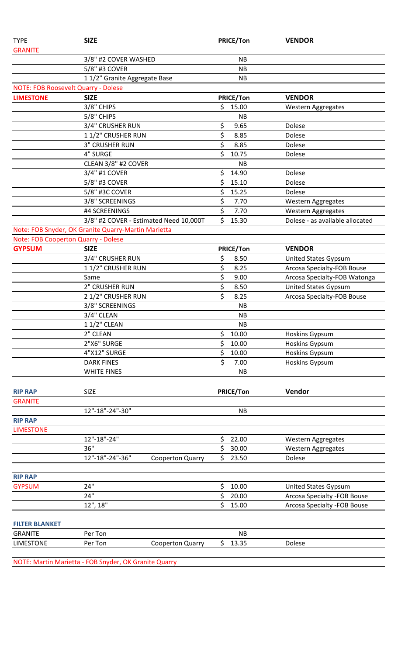| <b>TYPE</b>           | <b>SIZE</b>                                         | <b>PRICE/Ton</b> | <b>VENDOR</b>                   |
|-----------------------|-----------------------------------------------------|------------------|---------------------------------|
| <b>GRANITE</b>        |                                                     |                  |                                 |
|                       | 3/8" #2 COVER WASHED                                | <b>NB</b>        |                                 |
|                       | 5/8" #3 COVER                                       | <b>NB</b>        |                                 |
|                       | 11/2" Granite Aggregate Base                        | <b>NB</b>        |                                 |
|                       | <b>NOTE: FOB Roosevelt Quarry - Dolese</b>          |                  |                                 |
| <b>LIMESTONE</b>      | <b>SIZE</b>                                         | <b>PRICE/Ton</b> | <b>VENDOR</b>                   |
|                       | 3/8" CHIPS                                          | \$.<br>15.00     | <b>Western Aggregates</b>       |
|                       | 5/8" CHIPS                                          | <b>NB</b>        |                                 |
|                       | 3/4" CRUSHER RUN                                    | \$<br>9.65       | Dolese                          |
|                       | 11/2" CRUSHER RUN                                   | \$<br>8.85       | Dolese                          |
|                       | <b>3" CRUSHER RUN</b>                               | \$<br>8.85       | Dolese                          |
|                       | 4" SURGE                                            | \$<br>10.75      | Dolese                          |
|                       | CLEAN 3/8" #2 COVER                                 | <b>NB</b>        |                                 |
|                       | 3/4" #1 COVER                                       | \$<br>14.90      | Dolese                          |
|                       | 5/8" #3 COVER                                       | Ś<br>15.10       | Dolese                          |
|                       | 5/8" #3C COVER                                      | \$<br>15.25      | Dolese                          |
|                       | 3/8" SCREENINGS                                     | \$<br>7.70       | Western Aggregates              |
|                       | #4 SCREENINGS                                       | \$<br>7.70       | <b>Western Aggregates</b>       |
|                       | 3/8" #2 COVER - Estimated Need 10,000T              | \$<br>15.30      | Dolese - as available allocated |
|                       | Note: FOB Snyder, OK Granite Quarry-Martin Marietta |                  |                                 |
|                       | Note: FOB Cooperton Quarry - Dolese                 |                  |                                 |
| <b>GYPSUM</b>         | <b>SIZE</b>                                         | PRICE/Ton        | <b>VENDOR</b>                   |
|                       | 3/4" CRUSHER RUN                                    | \$<br>8.50       | <b>United States Gypsum</b>     |
|                       | 11/2" CRUSHER RUN                                   | \$<br>8.25       | Arcosa Specialty-FOB Bouse      |
|                       | Same                                                | \$<br>9.00       | Arcosa Specialty-FOB Watonga    |
|                       | 2" CRUSHER RUN                                      | \$<br>8.50       | <b>United States Gypsum</b>     |
|                       | 2 1/2" CRUSHER RUN                                  | \$<br>8.25       | Arcosa Specialty-FOB Bouse      |
|                       | 3/8" SCREENINGS                                     | <b>NB</b>        |                                 |
|                       | 3/4" CLEAN                                          | <b>NB</b>        |                                 |
|                       | 1 1/2" CLEAN                                        | <b>NB</b>        |                                 |
|                       | 2" CLEAN                                            | \$<br>10.00      | Hoskins Gypsum                  |
|                       | 2"X6" SURGE                                         | \$<br>10.00      | Hoskins Gypsum                  |
|                       | 4"X12" SURGE                                        | \$<br>10.00      | <b>Hoskins Gypsum</b>           |
|                       | <b>DARK FINES</b>                                   | \$<br>7.00       | Hoskins Gypsum                  |
|                       | <b>WHITE FINES</b>                                  | <b>NB</b>        |                                 |
|                       |                                                     |                  |                                 |
| <b>RIP RAP</b>        | <b>SIZE</b>                                         | <b>PRICE/Ton</b> | Vendor                          |
| <b>GRANITE</b>        |                                                     |                  |                                 |
|                       | 12"-18"-24"-30"                                     | <b>NB</b>        |                                 |
| <b>RIP RAP</b>        |                                                     |                  |                                 |
| <b>LIMESTONE</b>      |                                                     |                  |                                 |
|                       | 12"-18"-24"                                         | \$<br>22.00      | <b>Western Aggregates</b>       |
|                       | 36"                                                 | \$<br>30.00      | <b>Western Aggregates</b>       |
|                       | 12"-18"-24"-36"<br><b>Cooperton Quarry</b>          | \$<br>23.50      | Dolese                          |
|                       |                                                     |                  |                                 |
| <b>RIP RAP</b>        |                                                     |                  |                                 |
| <b>GYPSUM</b>         | 24"                                                 | \$<br>10.00      | <b>United States Gypsum</b>     |
|                       | 24"                                                 | \$<br>20.00      | Arcosa Specialty - FOB Bouse    |
|                       | 12", 18"                                            | \$<br>15.00      | Arcosa Specialty - FOB Bouse    |
|                       |                                                     |                  |                                 |
|                       |                                                     |                  |                                 |
| <b>FILTER BLANKET</b> |                                                     |                  |                                 |
| <b>GRANITE</b>        | Per Ton                                             | <b>NB</b>        |                                 |
| <b>LIMESTONE</b>      | Per Ton<br><b>Cooperton Quarry</b>                  | \$<br>13.35      | Dolese                          |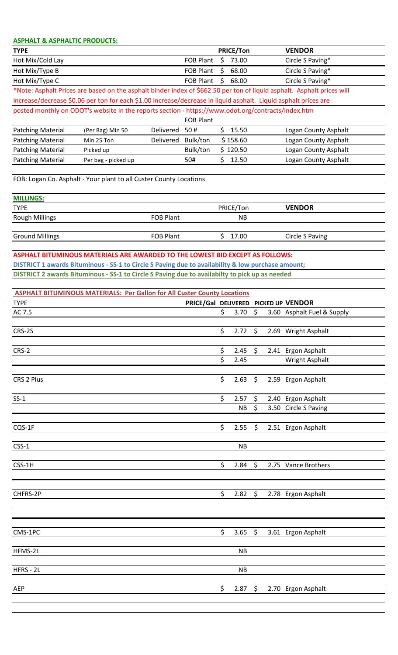| <b>ASPHALT &amp; ASPHALTIC PRODUCTS:</b>                                                                        |                     |                  |                  |    |                  |                                                                                                                        |
|-----------------------------------------------------------------------------------------------------------------|---------------------|------------------|------------------|----|------------------|------------------------------------------------------------------------------------------------------------------------|
| <b>TYPE</b>                                                                                                     |                     |                  |                  |    | <b>PRICE/Ton</b> | <b>VENDOR</b>                                                                                                          |
| Hot Mix/Cold Lay                                                                                                |                     |                  | <b>FOB Plant</b> |    | \$73.00          | Circle S Paving*                                                                                                       |
| Hot Mix/Type B                                                                                                  |                     |                  | <b>FOB Plant</b> | \$ | 68.00            | Circle S Paving*                                                                                                       |
| Hot Mix/Type C                                                                                                  |                     |                  | <b>FOB Plant</b> | \$ | 68.00            | Circle S Paving*                                                                                                       |
|                                                                                                                 |                     |                  |                  |    |                  | *Note: Asphalt Prices are based on the asphalt binder index of \$662.50 per ton of liquid asphalt. Asphalt prices will |
| increase/decrease \$0.06 per ton for each \$1.00 increase/decrease in liquid asphalt. Liquid asphalt prices are |                     |                  |                  |    |                  |                                                                                                                        |
| posted monthly on ODOT's website in the reports section - https://www.odot.org/contracts/index.htm              |                     |                  |                  |    |                  |                                                                                                                        |
|                                                                                                                 |                     |                  | <b>FOB Plant</b> |    |                  |                                                                                                                        |
| <b>Patching Material</b>                                                                                        | (Per Bag) Min 50    | Delivered        | 50#              | \$ | 15.50            | Logan County Asphalt                                                                                                   |
| <b>Patching Material</b>                                                                                        | Min 25 Ton          | Delivered        | Bulk/ton         |    | \$158.60         | Logan County Asphalt                                                                                                   |
| <b>Patching Material</b>                                                                                        | Picked up           |                  | Bulk/ton         |    | \$120.50         | Logan County Asphalt                                                                                                   |
| <b>Patching Material</b>                                                                                        | Per bag - picked up |                  | 50#              | Ś. | 12.50            | Logan County Asphalt                                                                                                   |
|                                                                                                                 |                     |                  |                  |    |                  |                                                                                                                        |
| FOB: Logan Co. Asphalt - Your plant to all Custer County Locations                                              |                     |                  |                  |    |                  |                                                                                                                        |
| <b>MILLINGS:</b>                                                                                                |                     |                  |                  |    |                  |                                                                                                                        |
| <b>TYPE</b>                                                                                                     |                     |                  |                  |    | PRICE/Ton        | <b>VENDOR</b>                                                                                                          |
| <b>Rough Millings</b>                                                                                           |                     | <b>FOB Plant</b> |                  |    | <b>NB</b>        |                                                                                                                        |
|                                                                                                                 |                     |                  |                  |    |                  |                                                                                                                        |
| <b>Ground Millings</b>                                                                                          |                     | <b>FOB Plant</b> |                  | \$ | 17.00            | <b>Circle S Paving</b>                                                                                                 |
|                                                                                                                 |                     |                  |                  |    |                  |                                                                                                                        |
| ASPHALT BITUMINOUS MATERIALS ARE AWARDED TO THE LOWEST BID EXCEPT AS FOLLOWS:                                   |                     |                  |                  |    |                  |                                                                                                                        |
| DISTRICT 1 awards Bituminous - SS-1 to Circle S Paving due to availability & low purchase amount;               |                     |                  |                  |    |                  |                                                                                                                        |
| DISTRICT 2 awards Bituminous - SS-1 to Circle S Paving due to availabilty to pick up as needed                  |                     |                  |                  |    |                  |                                                                                                                        |
|                                                                                                                 |                     |                  |                  |    |                  |                                                                                                                        |
| <b>ASPHALT BITUMINOUS MATERIALS: Per Gallon for All Custer County Locations</b>                                 |                     |                  |                  |    |                  |                                                                                                                        |
| <b>TYPE</b>                                                                                                     |                     |                  |                  |    |                  | PRICE/Gal DELIVERED PICKED UP VENDOR                                                                                   |
| AC 7.5                                                                                                          |                     |                  |                  | \$ | 3.70             | \$<br>3.60 Asphalt Fuel & Supply                                                                                       |
| CRS-2S                                                                                                          |                     |                  |                  | \$ | 2.72             | \$<br>2.69 Wright Asphalt                                                                                              |
|                                                                                                                 |                     |                  |                  |    |                  |                                                                                                                        |
| CRS-2                                                                                                           |                     |                  |                  | \$ | 2.45             | \$<br>2.41 Ergon Asphalt                                                                                               |
|                                                                                                                 |                     |                  |                  | \$ | 2.45             | <b>Wright Asphalt</b>                                                                                                  |
|                                                                                                                 |                     |                  |                  |    |                  |                                                                                                                        |
| CRS 2 Plus                                                                                                      |                     |                  |                  | \$ | 2.63             | \$<br>2.59 Ergon Asphalt                                                                                               |
|                                                                                                                 |                     |                  |                  |    |                  |                                                                                                                        |
| $SS-1$                                                                                                          |                     |                  |                  | \$ | 2.57             | \$<br>2.40 Ergon Asphalt                                                                                               |
|                                                                                                                 |                     |                  |                  |    | <b>NB</b>        | \$<br>3.50 Circle S Paving                                                                                             |
|                                                                                                                 |                     |                  |                  |    |                  |                                                                                                                        |
| CQS-1F                                                                                                          |                     |                  |                  | \$ | 2.55             | \$<br>2.51 Ergon Asphalt                                                                                               |
|                                                                                                                 |                     |                  |                  |    |                  |                                                                                                                        |
| $CSS-1$                                                                                                         |                     |                  |                  |    | <b>NB</b>        |                                                                                                                        |
|                                                                                                                 |                     |                  |                  |    |                  |                                                                                                                        |
| CSS-1H                                                                                                          |                     |                  |                  | \$ | 2.84             | \$<br>2.75 Vance Brothers                                                                                              |
|                                                                                                                 |                     |                  |                  |    |                  |                                                                                                                        |
| CHFRS-2P                                                                                                        |                     |                  |                  | \$ | 2.82             | \$                                                                                                                     |
|                                                                                                                 |                     |                  |                  |    |                  | 2.78 Ergon Asphalt                                                                                                     |
|                                                                                                                 |                     |                  |                  |    |                  |                                                                                                                        |
|                                                                                                                 |                     |                  |                  |    |                  |                                                                                                                        |
| CMS-1PC                                                                                                         |                     |                  |                  | \$ | 3.65             | \$<br>3.61 Ergon Asphalt                                                                                               |
|                                                                                                                 |                     |                  |                  |    |                  |                                                                                                                        |
| HFMS-2L                                                                                                         |                     |                  |                  |    | <b>NB</b>        |                                                                                                                        |
|                                                                                                                 |                     |                  |                  |    |                  |                                                                                                                        |
| HFRS - 2L                                                                                                       |                     |                  |                  |    | <b>NB</b>        |                                                                                                                        |
|                                                                                                                 |                     |                  |                  |    |                  |                                                                                                                        |
| AEP                                                                                                             |                     |                  |                  | \$ | 2.87             | \$<br>2.70 Ergon Asphalt                                                                                               |
|                                                                                                                 |                     |                  |                  |    |                  |                                                                                                                        |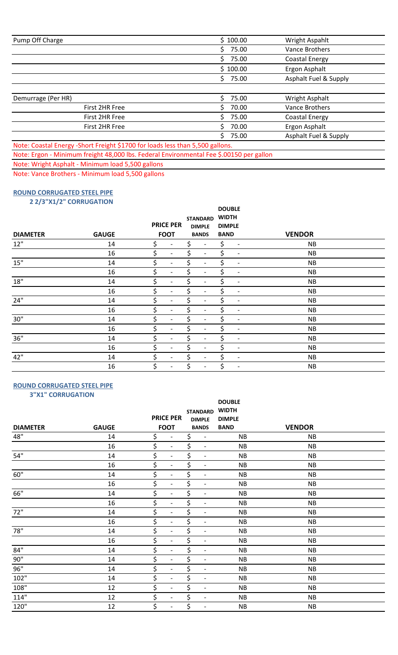| Pump Off Charge                                                               | \$100.00    | Wright Aspahlt        |
|-------------------------------------------------------------------------------|-------------|-----------------------|
|                                                                               | \$<br>75.00 | <b>Vance Brothers</b> |
|                                                                               | Ś.<br>75.00 | Coastal Energy        |
|                                                                               | \$100.00    | Ergon Asphalt         |
|                                                                               | 75.00<br>Ś. | Asphalt Fuel & Supply |
|                                                                               |             |                       |
| Demurrage (Per HR)                                                            | 75.00       | Wright Asphalt        |
| First 2HR Free                                                                | 70.00<br>ς  | Vance Brothers        |
| First 2HR Free                                                                | 75.00<br>ς  | Coastal Energy        |
| First 2HR Free                                                                | 70.00       | Ergon Asphalt         |
|                                                                               | 75.00<br>ς  | Asphalt Fuel & Supply |
| Note: Coastal Energy -Short Freight \$1700 for loads less than 5,500 gallons. |             |                       |

Note: Ergon - Minimum freight 48,000 lbs. Federal Environmental Fee \$.00150 per gallon

Note: Wright Asphalt - Minimum load 5,500 gallons

Note: Vance Brothers - Minimum load 5,500 gallons

## **ROUND CORRUGATED STEEL PIPE**

 **2 2/3"X1/2" CORRUGATION**

| <b>DIAMETER</b> | <b>GAUGE</b> | <b>PRICE PER</b><br><b>FOOT</b> | <b>STANDARD</b><br><b>DIMPLE</b><br><b>BANDS</b> |                              | <b>DOUBLE</b><br><b>WIDTH</b><br><b>DIMPLE</b><br><b>BAND</b> |                          | <b>VENDOR</b> |  |  |  |
|-----------------|--------------|---------------------------------|--------------------------------------------------|------------------------------|---------------------------------------------------------------|--------------------------|---------------|--|--|--|
| 12"             | 14           | \$                              | \$                                               | $\overline{\phantom{a}}$     | \$                                                            | $\overline{\phantom{a}}$ | <b>NB</b>     |  |  |  |
|                 | 16           | Ś<br>$\overline{\phantom{a}}$   |                                                  | $\overline{\phantom{a}}$     | \$                                                            | $\overline{\phantom{a}}$ | <b>NB</b>     |  |  |  |
| $15"$           | 14           | \$<br>$\overline{\phantom{0}}$  | \$                                               | $\qquad \qquad \blacksquare$ | \$                                                            | $\overline{\phantom{a}}$ | <b>NB</b>     |  |  |  |
|                 | 16           | \$<br>$\overline{\phantom{0}}$  | \$                                               | $\overline{\phantom{a}}$     | \$                                                            | $\overline{\phantom{a}}$ | <b>NB</b>     |  |  |  |
| $18"$           | 14           | \$<br>$\overline{\phantom{a}}$  | \$                                               | $\overline{\phantom{a}}$     | \$                                                            | $\overline{\phantom{a}}$ | <b>NB</b>     |  |  |  |
|                 | 16           | \$<br>$\overline{\phantom{a}}$  | \$                                               | $\overline{\phantom{a}}$     | \$                                                            | $\overline{\phantom{a}}$ | <b>NB</b>     |  |  |  |
| 24"             | 14           | \$<br>$\overline{\phantom{0}}$  | \$                                               | $\overline{\phantom{a}}$     | \$                                                            | $\overline{\phantom{a}}$ | <b>NB</b>     |  |  |  |
|                 | 16           | \$<br>$\qquad \qquad$           | \$                                               | $\overline{\phantom{a}}$     | \$                                                            | $\overline{\phantom{a}}$ | <b>NB</b>     |  |  |  |
| $30"$           | 14           | \$<br>$\blacksquare$            | \$                                               | $\overline{\phantom{0}}$     | \$                                                            | $\overline{\phantom{a}}$ | <b>NB</b>     |  |  |  |
|                 | 16           | \$<br>$\overline{\phantom{0}}$  | \$                                               | $\qquad \qquad \blacksquare$ | \$                                                            | $\overline{\phantom{a}}$ | <b>NB</b>     |  |  |  |
| $36"$           | 14           | \$<br>$\overline{\phantom{a}}$  | \$                                               | $\qquad \qquad \blacksquare$ | \$                                                            | $\overline{\phantom{a}}$ | <b>NB</b>     |  |  |  |
|                 | 16           | \$<br>$\overline{\phantom{a}}$  | \$                                               | $\overline{\phantom{a}}$     | \$                                                            | $\overline{\phantom{a}}$ | <b>NB</b>     |  |  |  |
| 42"             | 14           | \$<br>$\overline{\phantom{0}}$  | \$                                               | $\overline{\phantom{a}}$     | \$                                                            | $\overline{\phantom{a}}$ | <b>NB</b>     |  |  |  |
|                 | 16           | \$                              | \$                                               | $\overline{\phantom{a}}$     | \$                                                            | $\overline{\phantom{a}}$ | <b>NB</b>     |  |  |  |

#### **ROUND CORRUGATED STEEL PIPE 3"X1" CORRUGATION**

| $5.12$ connectively<br><b>DIAMETER</b> | <b>GAUGE</b> | <b>PRICE PER</b><br><b>FOOT</b> |                              | <b>STANDARD</b><br><b>DIMPLE</b><br><b>BANDS</b> | <b>DOUBLE</b><br><b>WIDTH</b><br><b>DIMPLE</b><br><b>BAND</b> | <b>VENDOR</b> |  |
|----------------------------------------|--------------|---------------------------------|------------------------------|--------------------------------------------------|---------------------------------------------------------------|---------------|--|
| 48"                                    | 14           | \$                              | $\overline{\phantom{a}}$     | \$<br>$\overline{\phantom{a}}$                   | NB                                                            | NB            |  |
|                                        | 16           | \$                              | $\overline{\phantom{a}}$     | \$<br>$\overline{\phantom{a}}$                   | NB                                                            | <b>NB</b>     |  |
| 54"                                    | 14           | \$                              | $\overline{\phantom{a}}$     | \$<br>$\overline{\phantom{a}}$                   | <b>NB</b>                                                     | <b>NB</b>     |  |
|                                        | 16           | \$                              | $\overline{\phantom{a}}$     | \$<br>$\overline{\phantom{a}}$                   | NB                                                            | NB            |  |
| $60"$                                  | 14           | \$                              | $\overline{\phantom{a}}$     | \$<br>$\overline{\phantom{a}}$                   | NB                                                            | NB            |  |
|                                        | 16           | \$                              | $\overline{\phantom{a}}$     | \$<br>$\overline{\phantom{a}}$                   | NB                                                            | <b>NB</b>     |  |
| 66"                                    | 14           | \$                              | $\qquad \qquad -$            | \$<br>$\overline{\phantom{a}}$                   | <b>NB</b>                                                     | NB            |  |
|                                        | 16           | \$                              | $\overline{\phantom{a}}$     | \$<br>$\overline{\phantom{a}}$                   | NB                                                            | NB            |  |
| 72"                                    | 14           | \$                              | $\overline{a}$               | \$<br>$\overline{\phantom{a}}$                   | NB                                                            | NB            |  |
|                                        | 16           | \$                              | $\overline{\phantom{a}}$     | \$<br>$\overline{\phantom{a}}$                   | <b>NB</b>                                                     | <b>NB</b>     |  |
| 78"                                    | 14           | \$                              | $\overline{\phantom{a}}$     | \$<br>$\overline{\phantom{a}}$                   | NB                                                            | <b>NB</b>     |  |
|                                        | 16           | \$                              | $\qquad \qquad -$            | \$<br>$\overline{\phantom{a}}$                   | <b>NB</b>                                                     | <b>NB</b>     |  |
| $84^{\rm u}$                           | 14           | \$                              | $\qquad \qquad \blacksquare$ | \$<br>$\blacksquare$                             | NB                                                            | NB            |  |
| $90"$                                  | 14           | \$                              | $\overline{\phantom{a}}$     | \$<br>$\overline{\phantom{a}}$                   | NB                                                            | <b>NB</b>     |  |
| 96"                                    | 14           | \$                              | $\overline{\phantom{a}}$     | \$<br>$\overline{\phantom{a}}$                   | NB                                                            | <b>NB</b>     |  |
| $102"$                                 | 14           | \$                              | $\overline{\phantom{a}}$     | \$<br>$\overline{\phantom{a}}$                   | <b>NB</b>                                                     | <b>NB</b>     |  |
| $108"$                                 | 12           | \$                              | $\qquad \qquad \blacksquare$ | \$<br>$\overline{\phantom{a}}$                   | NB                                                            | NB            |  |
| 114"                                   | 12           | \$                              | $\overline{\phantom{a}}$     | \$<br>$\overline{\phantom{a}}$                   | <b>NB</b>                                                     | <b>NB</b>     |  |
| 120"                                   | 12           | \$                              | $\overline{\phantom{a}}$     | \$<br>$\overline{\phantom{a}}$                   | <b>NB</b>                                                     | <b>NB</b>     |  |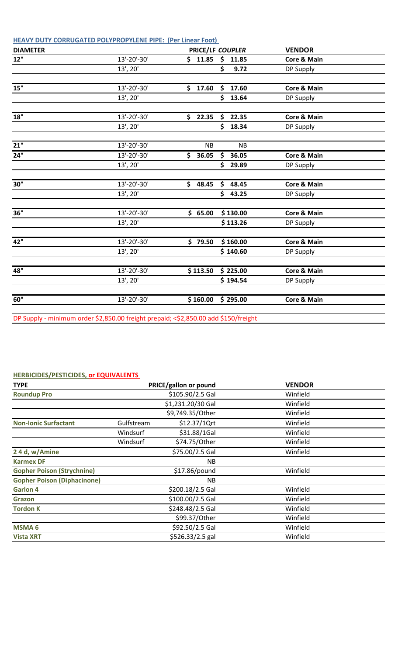| <b>DIAMETER</b>   |                                                                                     | PRICE/LF COUPLER |     |           | <b>VENDOR</b>          |  |
|-------------------|-------------------------------------------------------------------------------------|------------------|-----|-----------|------------------------|--|
| 12"               | 13'-20'-30'                                                                         | \$11.85          | \$  | 11.85     | <b>Core &amp; Main</b> |  |
|                   | 13', 20'                                                                            |                  | Ś.  | 9.72      | DP Supply              |  |
|                   |                                                                                     |                  |     |           |                        |  |
| 15"               | 13'-20'-30'                                                                         | \$17.60          | \$  | 17.60     | <b>Core &amp; Main</b> |  |
|                   | 13', 20'                                                                            |                  | \$. | 13.64     | DP Supply              |  |
| 18"               | 13'-20'-30'                                                                         |                  |     |           |                        |  |
|                   |                                                                                     | \$22.35          | \$  | 22.35     | <b>Core &amp; Main</b> |  |
|                   | 13', 20'                                                                            |                  | \$  | 18.34     | DP Supply              |  |
| $\overline{21}$ " | $13'-20'-30'$                                                                       | <b>NB</b>        |     | <b>NB</b> |                        |  |
| 24"               | $\overline{13}$ '-20'-30'                                                           | \$<br>36.05      | \$  | 36.05     | Core & Main            |  |
|                   | 13', 20'                                                                            |                  | \$  | 29.89     | DP Supply              |  |
|                   |                                                                                     |                  |     |           |                        |  |
| 30"               | 13'-20'-30'                                                                         | \$48.45          | \$  | 48.45     | <b>Core &amp; Main</b> |  |
|                   | $13'$ , $20'$                                                                       |                  | \$  | 43.25     | DP Supply              |  |
|                   |                                                                                     |                  |     |           |                        |  |
| 36"               | 13'-20'-30'                                                                         | \$65.00          |     | \$130.00  | <b>Core &amp; Main</b> |  |
|                   | 13', 20'                                                                            |                  |     | \$113.26  | DP Supply              |  |
| 42"               | 13'-20'-30'                                                                         | \$79.50          |     | \$160.00  | Core & Main            |  |
|                   | 13', 20'                                                                            |                  |     | \$140.60  | DP Supply              |  |
|                   |                                                                                     |                  |     |           |                        |  |
| 48"               | 13'-20'-30'                                                                         | \$113.50         |     | \$225.00  | <b>Core &amp; Main</b> |  |
|                   | 13', 20'                                                                            |                  |     | \$194.54  | DP Supply              |  |
|                   |                                                                                     |                  |     |           |                        |  |
| 60"               | 13'-20'-30'                                                                         | \$160.00         |     | \$295.00  | <b>Core &amp; Main</b> |  |
|                   |                                                                                     |                  |     |           |                        |  |
|                   | DP Supply - minimum order \$2,850.00 freight prepaid; <\$2,850.00 add \$150/freight |                  |     |           |                        |  |

## **HERBICIDES/PESTICIDES, or EQUIVALENTS**

| <b>TYPE</b>                        |            | PRICE/gallon or pound | <b>VENDOR</b> |  |  |  |
|------------------------------------|------------|-----------------------|---------------|--|--|--|
| <b>Roundup Pro</b>                 |            | \$105.90/2.5 Gal      | Winfield      |  |  |  |
|                                    |            | \$1,231.20/30 Gal     | Winfield      |  |  |  |
|                                    |            | \$9,749.35/Other      | Winfield      |  |  |  |
| <b>Non-Ionic Surfactant</b>        | Gulfstream | \$12.37/1Qrt          | Winfield      |  |  |  |
|                                    | Windsurf   | \$31.88/1Gal          | Winfield      |  |  |  |
|                                    | Windsurf   | \$74.75/Other         | Winfield      |  |  |  |
| 24 d, w/Amine                      |            | \$75.00/2.5 Gal       | Winfield      |  |  |  |
| <b>Karmex DF</b>                   |            | <b>NB</b>             |               |  |  |  |
| <b>Gopher Poison (Strychnine)</b>  |            | \$17.86/pound         | Winfield      |  |  |  |
| <b>Gopher Poison (Diphacinone)</b> |            | <b>NB</b>             |               |  |  |  |
| <b>Garlon 4</b>                    |            | \$200.18/2.5 Gal      | Winfield      |  |  |  |
| <b>Grazon</b>                      |            | \$100.00/2.5 Gal      | Winfield      |  |  |  |
| <b>Tordon K</b>                    |            | \$248.48/2.5 Gal      | Winfield      |  |  |  |
|                                    |            | \$99.37/Other         | Winfield      |  |  |  |
| <b>MSMA 6</b>                      |            | \$92.50/2.5 Gal       | Winfield      |  |  |  |
| <b>Vista XRT</b>                   |            | \$526.33/2.5 gal      | Winfield      |  |  |  |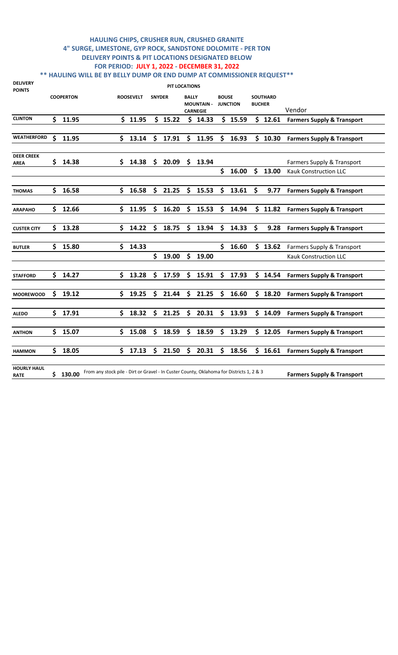### **HAULING CHIPS, CRUSHER RUN, CRUSHED GRANITE 4" SURGE, LIMESTONE, GYP ROCK, SANDSTONE DOLOMITE - PER TON DELIVERY POINTS & PIT LOCATIONS DESIGNATED BELOW FOR PERIOD: JULY 1, 2022 - DECEMBER 31, 2022 \*\* HAULING WILL BE BY BELLY DUMP OR END DUMP AT COMMISSIONER REQUEST\*\***

| <b>DELIVERY</b><br><b>POINTS</b>  |                    |                  |                                                                                          |     |                  |               | PIT LOCATIONS |              |                                      |              |                 |     |                                  |                                       |
|-----------------------------------|--------------------|------------------|------------------------------------------------------------------------------------------|-----|------------------|---------------|---------------|--------------|--------------------------------------|--------------|-----------------|-----|----------------------------------|---------------------------------------|
|                                   |                    | <b>COOPERTON</b> |                                                                                          |     | <b>ROOSEVELT</b> | <b>SNYDER</b> |               | <b>BALLY</b> | <b>MOUNTAIN -</b><br><b>CARNEGIE</b> | <b>BOUSE</b> | <b>JUNCTION</b> |     | <b>SOUTHARD</b><br><b>BUCHER</b> | Vendor                                |
| <b>CLINTON</b>                    | Ś.                 | 11.95            |                                                                                          |     | \$11.95          |               | \$15.22       |              | \$14.33                              |              | \$15.59         |     | \$12.61                          | <b>Farmers Supply &amp; Transport</b> |
| <b>WEATHERFORD</b>                | $\mathsf{\hat{S}}$ | 11.95            |                                                                                          | \$  | 13.14            | $\mathsf{\$}$ | 17.91         | \$           | 11.95                                | \$           | 16.93           |     | \$10.30                          | <b>Farmers Supply &amp; Transport</b> |
| <b>DEER CREEK</b><br>AREA         | \$                 | 14.38            |                                                                                          | \$. | 14.38            | \$            | 20.09         |              | \$13.94                              |              |                 |     |                                  | Farmers Supply & Transport            |
|                                   |                    |                  |                                                                                          |     |                  |               |               |              |                                      | \$           | 16.00           | \$  | 13.00                            | <b>Kauk Construction LLC</b>          |
| <b>THOMAS</b>                     | \$                 | 16.58            |                                                                                          | \$  | 16.58            | \$            | 21.25         | \$           | 15.53                                | \$           | 13.61           | \$  | 9.77                             | <b>Farmers Supply &amp; Transport</b> |
| <b>ARAPAHO</b>                    | \$                 | 12.66            |                                                                                          | \$  | 11.95            | S             | 16.20         | \$           | 15.53                                | \$           | 14.94           | \$. | 11.82                            | <b>Farmers Supply &amp; Transport</b> |
| <b>CUSTER CITY</b>                | \$                 | 13.28            |                                                                                          | \$  | 14.22            | Ś             | 18.75         | \$           | 13.94                                | \$           | 14.33           | \$  | 9.28                             | <b>Farmers Supply &amp; Transport</b> |
| <b>BUTLER</b>                     | Ś.                 | 15.80            |                                                                                          | \$  | 14.33            |               |               |              |                                      |              | \$16.60         |     | \$13.62                          | Farmers Supply & Transport            |
|                                   |                    |                  |                                                                                          |     |                  | \$            | 19.00         | \$           | 19.00                                |              |                 |     |                                  | Kauk Construction LLC                 |
| <b>STAFFORD</b>                   | \$                 | 14.27            |                                                                                          | \$  | 13.28            | Ś.            | 17.59         | \$           | 15.91                                |              | \$17.93         |     | \$14.54                          | <b>Farmers Supply &amp; Transport</b> |
| <b>MOOREWOOD</b>                  | \$                 | 19.12            |                                                                                          | S.  | 19.25            | S             | 21.44         | \$           | 21.25                                | \$           | 16.60           |     | \$18.20                          | <b>Farmers Supply &amp; Transport</b> |
| <b>ALEDO</b>                      | \$                 | 17.91            |                                                                                          | \$  | 18.32            | \$            | 21.25         | \$           | 20.31                                | \$           | 13.93           |     | \$14.09                          | <b>Farmers Supply &amp; Transport</b> |
| <b>ANTHON</b>                     | \$                 | 15.07            |                                                                                          | \$  | 15.08            | Ś             | 18.59         | \$           | 18.59                                | \$           | 13.29           |     | \$12.05                          | <b>Farmers Supply &amp; Transport</b> |
| <b>HAMMON</b>                     | \$                 | 18.05            |                                                                                          | \$. | 17.13            | \$            | 21.50         | \$           | 20.31                                |              | \$18.56         |     | \$16.61                          | <b>Farmers Supply &amp; Transport</b> |
| <b>HOURLY HAUL</b><br><b>RATE</b> |                    | \$130.00         | From any stock pile - Dirt or Gravel - In Custer County, Oklahoma for Districts 1, 2 & 3 |     |                  |               |               |              |                                      |              |                 |     |                                  | <b>Farmers Supply &amp; Transport</b> |